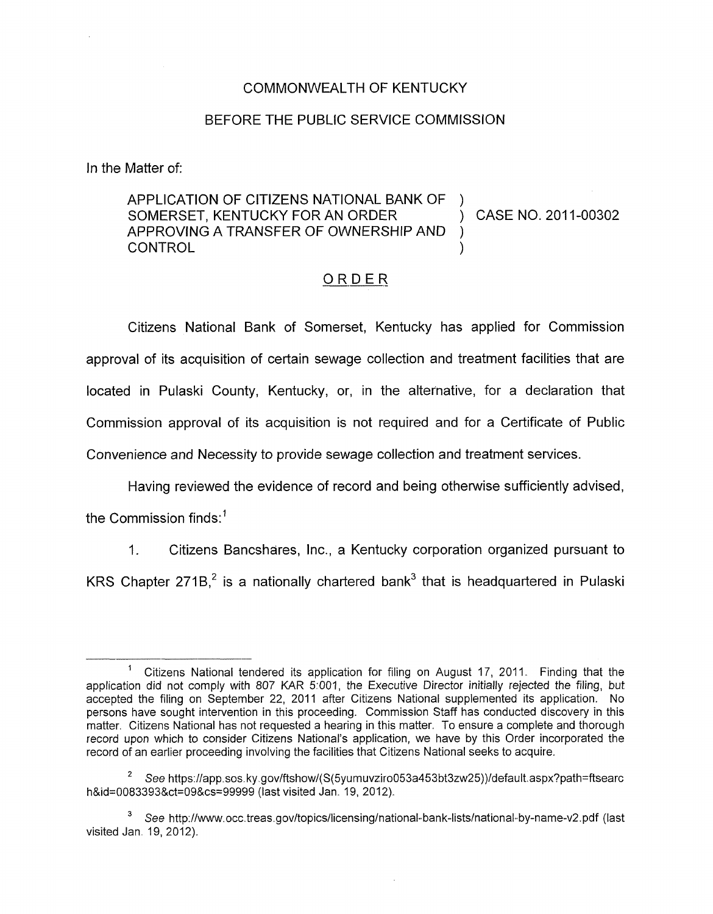## COMMONWEALTH OF KENTUCKY

## BEFORE THE PUBLIC SERVICE COMMISSION

In the Matter of:

APPLICATION OF CITIZENS NATIONAL BANK OF SOMERSET, KENTUCKY FOR AN ORDER (2015) CASE NO. 2011-00302 APPROVING A TRANSFER OF OWNERSHIP AND ) **CONTROL** 

## \_\_\_\_-.- ORDER

Citizens National Bank of Somerset, Kentucky has applied for Commission approval of its acquisition of certain sewage collection and treatment facilities that are located in Pulaski County, Kentucky, or, in the alternative, for a declaration that Commission approval of its acquisition is not required and for a Certificate of Public Convenience and Necessity to provide sewage collection and treatment services.

Having reviewed the evidence of record and being otherwise sufficiently advised,

the Commission finds: $<sup>1</sup>$ </sup>

1. Citizens Bancshares, Inc., a Kentucky corporation organized pursuant to KRS Chapter 271B, $^2$  is a nationally chartered bank<sup>3</sup> that is headquartered in Pulaski

<sup>&#</sup>x27; Citizens National tendered its application for filing on August **17, 2011.** Finding that the application did not comply with 807 KAR **5:001,** the Executive Director initially rejected the filing, but accepted the filing on September 22, 2011 after Citizens National supplemented its application. No persons have sought intervention in this proceeding. Commission Staff has conducted discovery in this matter. Citizens National has not requested a hearing in this matter. To ensure a complete and thorough record upon which to consider Citizens National's application, we have by this Order incorporated the record of an earlier proceeding involving the facilities that Citizens National seeks to acquire.

<sup>&</sup>lt;sup>2</sup> See [https://app.sos.](https://app.sos)ky.gov/ftshow/(S(5yumuvziro053a453bt3zw25))/default.aspx?path=ftsearc h&id=0083393&ct=09&cs=99999 (last visited Jan. 19, 2012).

 $3$  See http://www.occ.treas.gov/topics/licensing/national-bank-lists/national-by-name-v2.pdf (last visited Jan. **19, 2012).**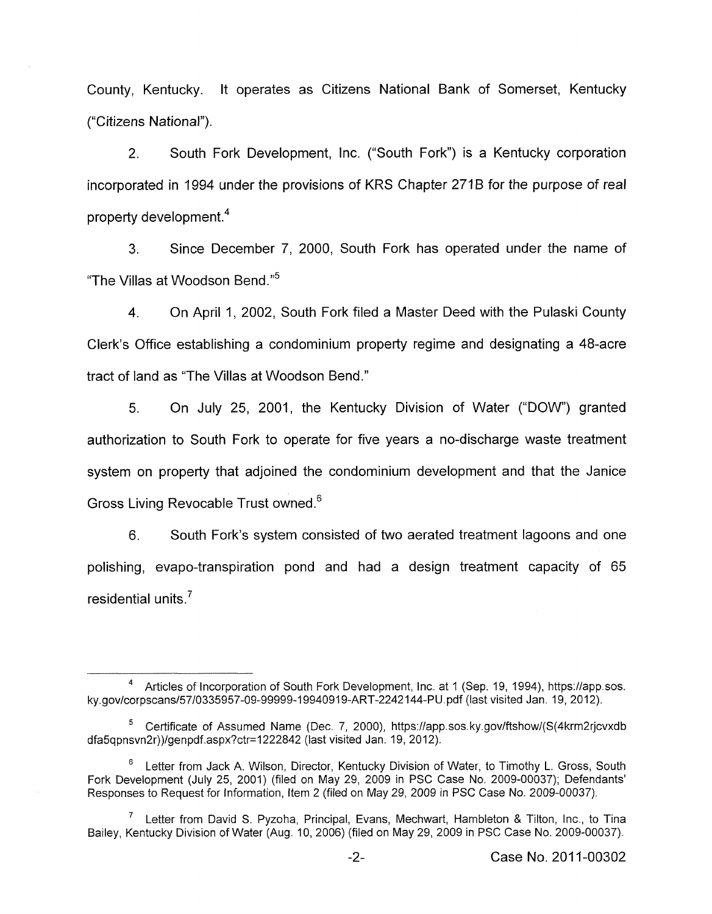County, Kentucky. It operates as Citizens National Bank of Somerset, Kentucky ("Citizens National").

2. South Fork Development, Inc. ("South Fork") is a Kentucky corporation incorporated in 1994 under the provisions of KRS Chapter 271B for the purpose of real property development. $4$ 

**3.** Since December 7, 2000, South Fork has operated under the name of "The Villas at Woodson Bend."<sup>5</sup>

4. On April 1, 2002, South Fork filed a Master Deed with the Pulaski County Clerk's Office establishing a condominium property regime and designating a 48-acre tract of land as "The Villas at Woodson Bend."

5. On July 25, 2001, the Kentucky Division of Water ("DOW') granted authorization to South Fork to operate for five years a no-discharge waste treatment system on property that adjoined the condominium development and that the Janice Gross Living Revocable Trust owned.<sup>6</sup>

6. South Fork's system consisted of two aerated treatment lagoons and one polishing, evapo-transpiration pond and had a design treatment capacity of 65 residential units.<sup>7</sup>

Articles of Incorporation of South Fork Development, Inc. at 1 (Sep. **19, 1994),** [https://app.sos.](https://app.sos) **ky.gov/corpscans/57/0335957-09-99999-19940919-ART-2242144-PU.pdf** (last visited Jan. **19, 201** *2).* 

Certificate of Assumed Name (Dec. **7,** 2000), [https://app.sos.](https://app.sos) ky.gov/ftshow/(S(4krm2rjcvxdb **<sup>5</sup>** dfa5qpnsvn2r))/genpdf.aspx?ctr=l222842 (last visited Jan. **19, 2012).** 

Letter from Jack A. Wilson, Director, Kentucky Division of Water, to Timothy L. Gross, South Fork Development (July **25, 2001)** (filed on May **29, 2009** in PSC Case No. **2009-00037);** Defendants' Responses to Request for Information, Item **2** (filed on May **29, 2009** in PSC Case No. **2009-00037). 6** 

 $7$  Letter from David S. Pyzoha, Principal, Evans, Mechwart, Hambleton & Tilton, Inc., to Tina Bailey, Kentucky Division of Water (Aug. IO, **2006)** (filed on May **29, 2009** in PSC Case No. **2009-00037).**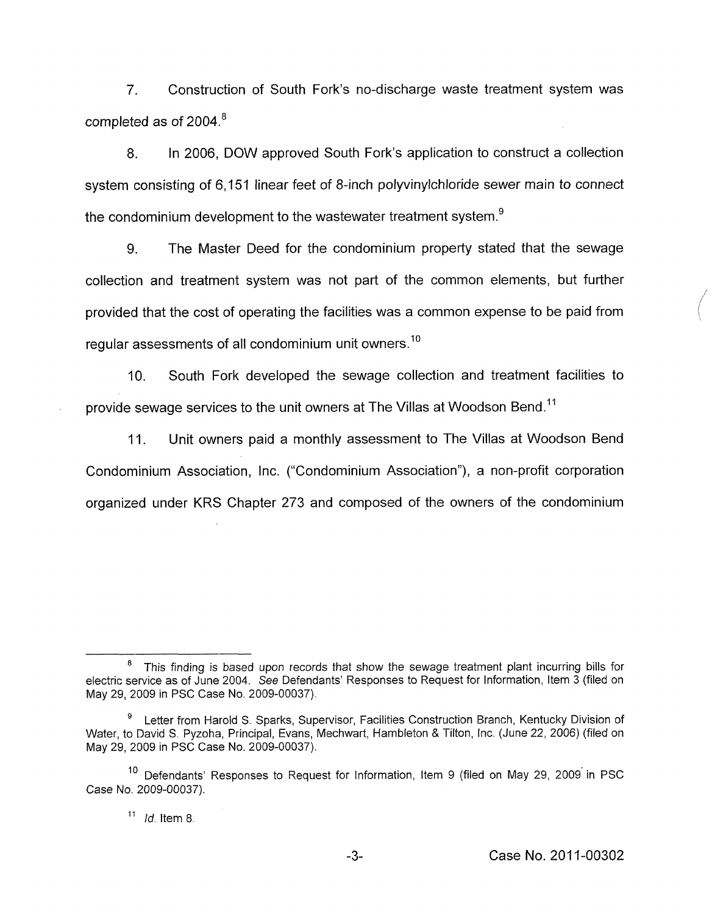7. Construction of South Fork's no-discharge waste treatment system was completed as of 2004.<sup>8</sup>

8. In 2006, DOW approved South Fork's application to construct a collection system consisting of 6,151 linear feet of 8-inch polyvinylchloride sewer main *to* connect the condominium development to the wastewater treatment system. $<sup>9</sup>$ </sup>

9. The Master Deed for the condominium property stated that the sewage collection and treatment system was not part of the common elements, but further provided that the cost of operating the facilities was a common expense to be paid from regular assessments of all condominium unit owners.<sup>10</sup>

IO. South Fork developed the sewage collection and treatment facilities to provide sewage services to the unit owners at The Villas at Woodson Bend.<sup>11</sup>

11. Unit owners paid a monthly assessment to The Villas at Woodson Bend Condominium Association, Inc. ("Condominium Association"), a non-profit corporation organized under KRS Chapter 273 and composed of the owners of the condominium

This finding is based upon records that show the sewage treatment plant incurring bills for electric service as of June 2004. See Defendants' Responses to Request for Information, Item 3 (filed on May 29, 2009 in PSC Case No. 2009-00037).

Letter from Harold S. Sparks, Supervisor, Facilities Construction Branch, Kentucky Division of Water, to David S.. Pyzoha, Principal, Evans, Mechwart, Hambleton & Tilton, Inc. (June 22, 2006) (filed on May 29, 2009 in PSC Case No. 2009-00037). **9** 

<sup>&</sup>lt;sup>10</sup> Defendants' Responses to Request for Information, Item 9 (filed on May 29, 2009 in PSC Case No. 2009-00037).

<sup>&</sup>lt;sup>11</sup> *Id.* Item 8.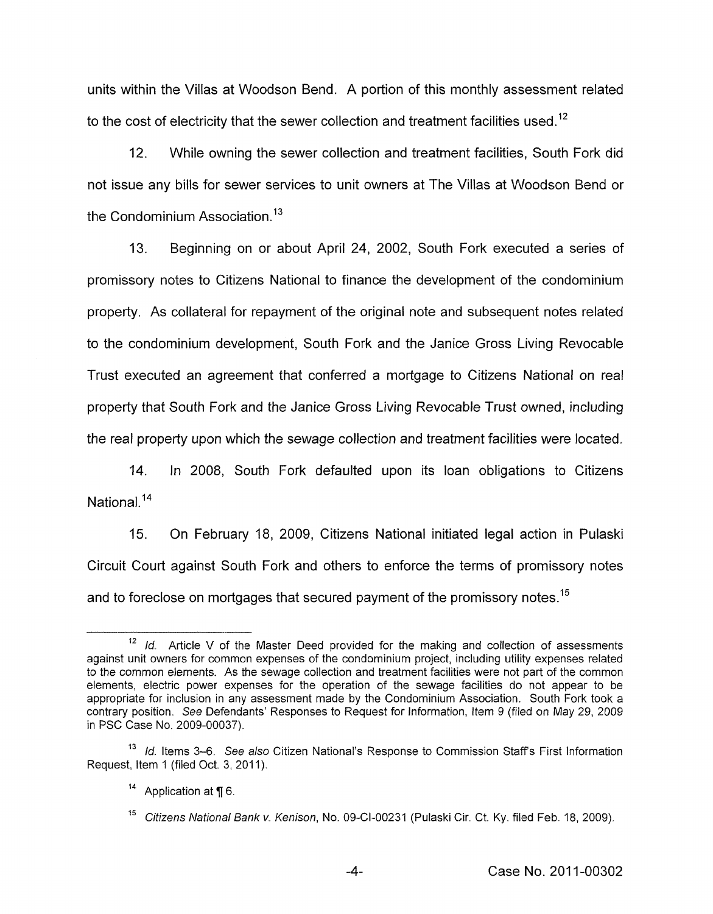units within the Villas at Woodson Bend. A portion of this monthly assessment related to the cost of electricity that the sewer collection and treatment facilities used.<sup>12</sup>

12. While owning the sewer collection and treatment facilities, South Fork did not issue any bills for sewer services to unit owners at The Villas at Woodson Bend or the Condominium Association. $13$ 

13. Beginning on or about April 24, 2002, South Fork executed a series of promissory notes to Citizens National to finance the development of the condominium property. As collateral for repayment of the original note and subsequent notes related to the condominium development, South Fork and the Janice Gross Living Revocable Trust executed an agreement that conferred a mortgage to Citizens National on real property that South Fork and the Janice Gross Living Revocable Trust owned, including the real property upon which the sewage collection and treatment facilities were located.

14. In 2008, South Fork defaulted upon its loan obligations to Citizens National.<sup>14</sup>

15. On February 18, 2009, Citizens National initiated legal action in Pulaski Circuit Court against South Fork and others to enforce the terms of promissory notes and to foreclose on mortgages that secured payment of the promissory notes.<sup>15</sup>

<sup>12</sup> Id. Article V of the Master Deed provided for the making and collection of assessments against unit owners for common expenses of the condominium project, including utility expenses related to the common elements. As the sewage collection and treatment facilities were not part of the common elements, electric power expenses for the operation of the sewage facilities do not appear to be appropriate for inclusion in any assessment made by the Condominium Association. South Fork took a contrary position. *See* Defendants' Responses to Request for Information, Item 9 (filed on May 29, 2009 in PSC Case No. 2009-00037).

<sup>&</sup>lt;sup>13</sup> Id. Items 3–6. See also Citizen National's Response to Commission Staff's First Information Request, Item 1 (filed Oct. 3, 2011).

<sup>&</sup>lt;sup>14</sup> Application at ¶ 6.

*Citizens National Bank v. Kenison,* No. 09-Cl-00231 (Pulaski Cir. Ct. Ky. filed Feb. 18, 2009).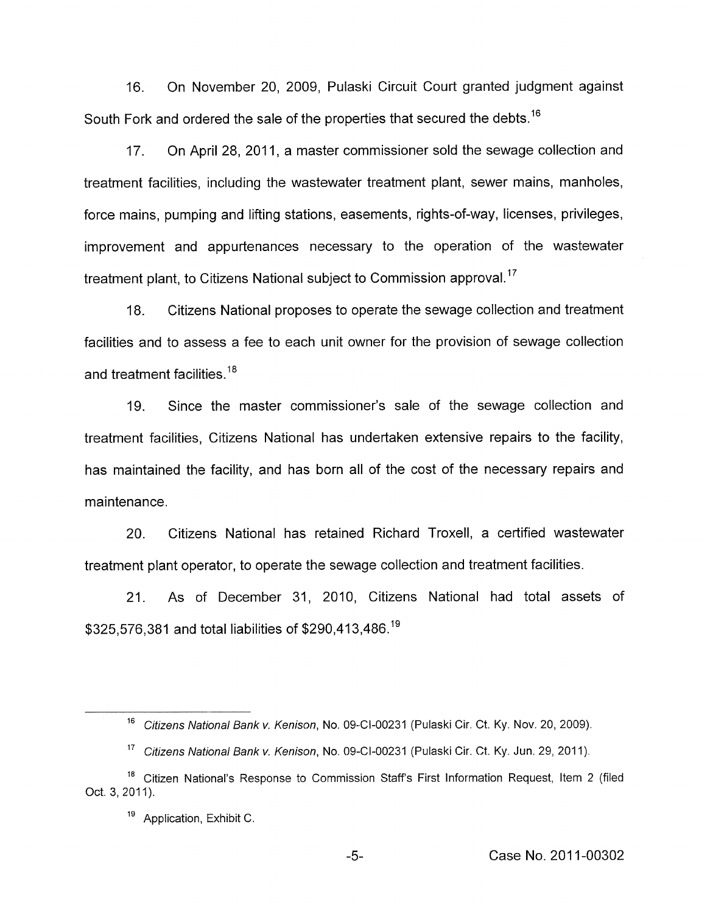16. On November 20, 2009, Pulaski Circuit Court granted judgment against South Fork and ordered the sale of the properties that secured the debts.<sup>16</sup>

17. On April 28, 2011, a master commissioner sold the sewage collection and treatment facilities, including the wastewater treatment plant, sewer mains, manholes, force mains, pumping and lifting stations, easements, rights-of-way, licenses, privileges, improvement and appurtenances necessary to the operation of the wastewater treatment plant, to Citizens National subject to Commission approval.<sup>17</sup>

18. Citizens National proposes to operate the sewage collection and treatment facilities and to assess a fee to each unit owner for the provision of sewage collection and treatment facilities.<sup>18</sup>

19. Since the master commissioner's sale of the sewage collection and treatment facilities, Citizens National has undertaken extensive repairs to the facility, has maintained the facility, and has born all of the cost of the necessary repairs and maintenance.

20. Citizens National has retained Richard Troxell, a certified wastewater treatment plant operator, to operate the sewage collection and treatment facilities.

21. As of December 31, 2010, Citizens National had total assets of \$325,576,381 and total liabilities of \$290,413,486.<sup>19</sup>

<sup>&</sup>lt;sup>16</sup> Citizens National Bank v. Kenison, No. 09-CI-00231 (Pulaski Cir. Ct. Ky. Nov. 20, 2009).

<sup>&</sup>lt;sup>17</sup> Citizens National Bank v. Kenison, No. 09-CI-00231 (Pulaski Cir. Ct. Ky. Jun. 29, 2011).

<sup>&</sup>lt;sup>18</sup> Citizen National's Response to Commission Staff's First Information Request, Item 2 (filed Oct. 3, 2011).

**l9** Application, Exhibit C.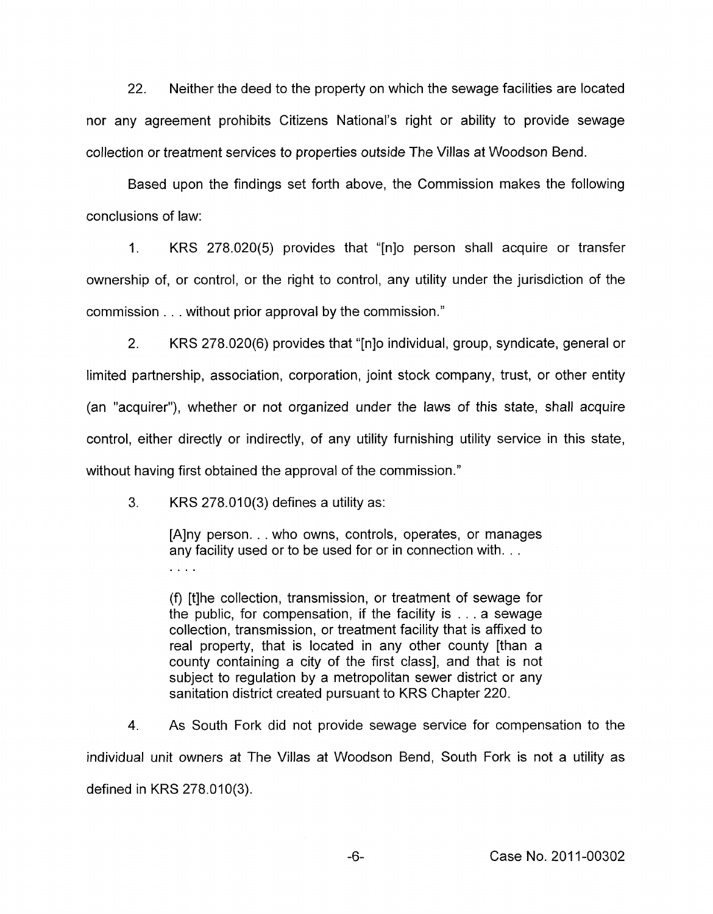22. Neither the deed to the property on which the sewage facilities are located nor any agreement prohibits Citizens National's right or ability to provide sewage collection or treatment services to properties outside The Villas at Woodson Bend.

Based upon the findings set forth above, the Commission makes the following conclusions of law:

1. **KRS** 278.020(5) provides that "[nlo person shall acquire or transfer ownership of, or control, or the right to control, any utility under the jurisdiction of the commission . . . without prior approval by the commission."

2. **KRS** 278.020(6) provides that "[nlo individual, group, syndicate, general or limited partnership, association, corporation, joint stock company, trust, or other entity (an "acquirer"), whether or not organized under the laws of this state, shall acquire control, either directly or indirectly, of any utility furnishing utility service in this state, without having first obtained the approval of the commission."

3. **KRS** 278.010(3) defines a utility as:

[Alny person. . . who owns, controls, operates, or manages any facility used or to be used for or in connection with. . .  $\mathbb{Z}$  . The set

(9 [tlhe collection, transmission, or treatment of sewage for the public, for compensation, if the facility is . . . a sewage collection, transmission, or treatment facility that is affixed to real property, that is located in any other county [than a county containing a city of the first class], and that is not subject to regulation by a metropolitan sewer district or any sanitation district created pursuant to **KRS** Chapter 220.

**4.** As South Fork did not provide sewage service for compensation to the individual unit owners at The Villas at Woodson Bend, South Fork is not a utility as defined in **KRS** 278.010(3).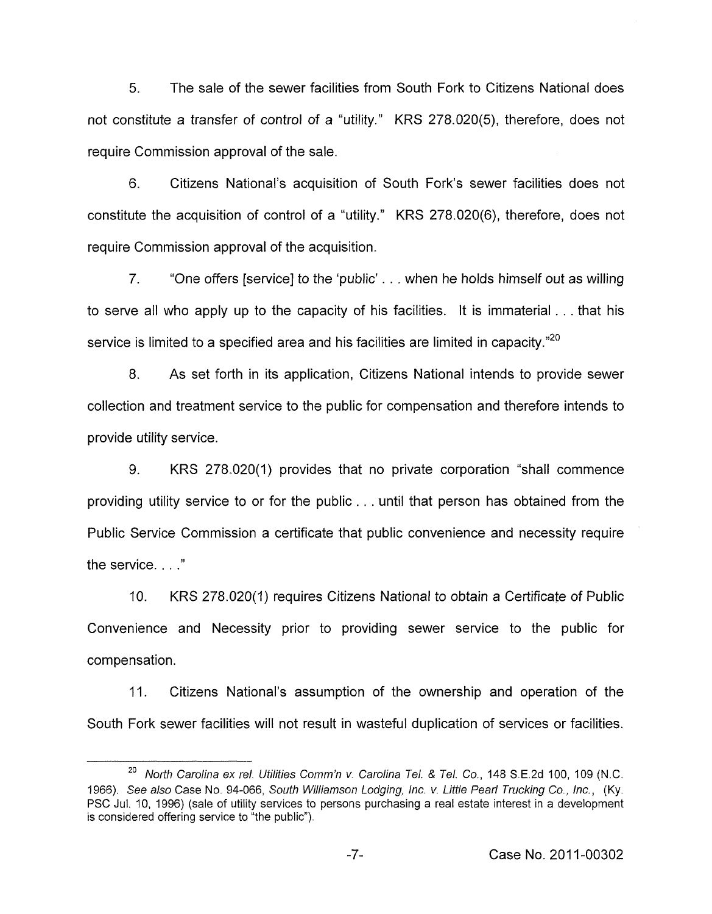5. The sale of the sewer facilities from South Fork to Citizens National does not constitute a transfer of control of a "utility." KRS 278.020(5), therefore, does not require Commission approval of the sale.

6. Citizens National's acquisition of South Fork's sewer facilities does not constitute the acquisition of control of a "utility." KRS 278.020(6), therefore, does not require Commission approval of the acquisition.

7. "One offers [service] to the 'public' . . . when he holds himself out as willing to serve all who apply up to the capacity of his facilities. It is immaterial . . . that his service is limited to a specified area and his facilities are limited in capacity."<sup>20</sup>

8. As set forth in its application, Citizens National intends to provide sewer collection and treatment service to the public for compensation and therefore intends to provide utility service.

9. KRS 278.020(1) provides that no private corporation "shall commence providing utility service to or for the public. . . until that person has obtained from the Public Service Commission a certificate that public convenience and necessity require the service. . . ."

IO. KRS 278.020(1) requires Citizens National to obtain a Certificate of Public Convenience and Necessity prior to providing sewer service to the public for compensation.

11. Citizens National's assumption of the ownership and operation of the South Fork sewer facilities will not result in wasteful duplication of services or facilities.

*North Carolina ex re/. Utilities Comm'n v. Carolina 781.* & *Tel. Co.,* 148 S.E.2d 100, 109 **(N.C. 20**  1966). *See also* Case No. 94-066, *South Williamson Lodging, lnc. v. Little Pearl Trucking Co., lnc.,* (Ky. PSC Jul. 10, 1996) (sale of utility services to persons purchasing a real estate interest in a development is considered offering service to "the public").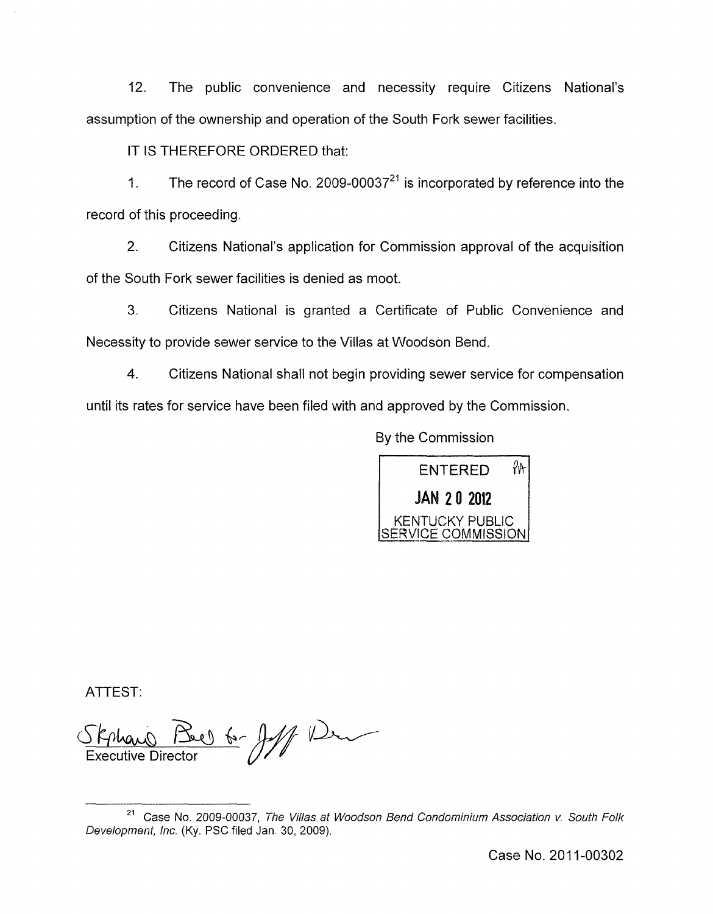12. The public convenience and necessity require Citizens National's assumption of the ownership and operation of the South Fork sewer facilities.

IT IS THEREFORE ORDERED that:

1. The record of Case No. 2009-00037 $^{21}$  is incorporated by reference into the record of this proceeding.

2. Citizens National's application for Commission approval of the acquisition of the South Fork sewer facilities is denied as moot.

3. Citizens National is granted a Certificate of Public Convenience and Necessity to provide sewer service to the Villas at Woodson Bend.

**4.** Citizens National shall not begin providing sewer service for compensation until its rates for service have been filed with and approved by the Commission.

By the Commission



ATTEST:

16- July 12 Executive Director

Case No. 2011-00302

Case No. 2009-00037, *The Villas at Woodson Bend Condominium Association v. South Folk*  **21**  *Development, lnc.* (Ky. PSC filed Jan. 30, 2009).